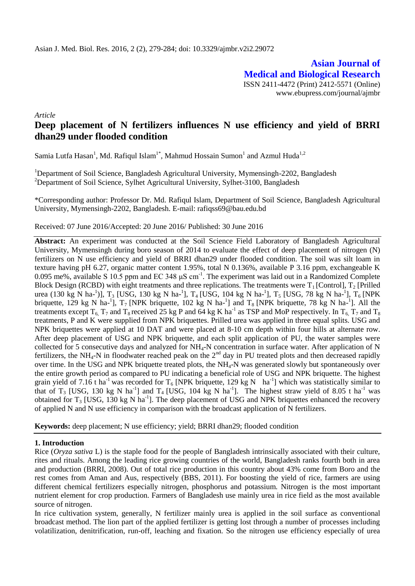**Asian Journal of Medical and Biological Research** ISSN 2411-4472 (Print) 2412-5571 (Online) www.ebupress.com/journal/ajmbr

*Article*

# **Deep placement of N fertilizers influences N use efficiency and yield of BRRI dhan29 under flooded condition**

Samia Lutfa Hasan<sup>1</sup>, Md. Rafiqul Islam<sup>1\*</sup>, Mahmud Hossain Sumon<sup>1</sup> and Azmul Huda<sup>1,2</sup>

<sup>1</sup>Department of Soil Science, Bangladesh Agricultural University, Mymensingh-2202, Bangladesh <sup>2</sup>Department of Soil Science, Sylhet Agricultural University, Sylhet-3100, Bangladesh

\*Corresponding author: Professor Dr. Md. Rafiqul Islam, Department of Soil Science, Bangladesh Agricultural University, Mymensingh-2202, Bangladesh. E-mail: rafiqss69@bau.edu.bd

Received: 07 June 2016/Accepted: 20 June 2016/ Published: 30 June 2016

**Abstract:** An experiment was conducted at the Soil Science Field Laboratory of Bangladesh Agricultural University, Mymensingh during boro season of 2014 to evaluate the effect of deep placement of nitrogen (N) fertilizers on N use efficiency and yield of BRRI dhan29 under flooded condition. The soil was silt loam in texture having pH 6.27, organic matter content 1.95%, total N 0.136%, available P 3.16 ppm, exchangeable K 0.095 me%, available S 10.5 ppm and EC 348  $\mu$ S cm<sup>-1</sup>. The experiment was laid out in a Randomized Complete Block Design (RCBD) with eight treatments and three replications. The treatments were  $T_1$  [Control],  $T_2$  [Prilled urea (130 kg N ha-<sup>1</sup>)], T<sub>3</sub> [USG, 130 kg N ha-<sup>1</sup>], T<sub>4</sub> [USG, 104 kg N ha-<sup>1</sup>], T<sub>5</sub> [USG, 78 kg N ha-<sup>1</sup>], T<sub>6</sub> [NPK briquette, 129 kg N ha-<sup>1</sup>],  $T_7$  [NPK briquette, 102 kg N ha-<sup>1</sup>] and  $T_8$  [NPK briquette, 78 kg N ha-<sup>1</sup>]. All the treatments except  $T_6$ ,  $T_7$  and  $T_8$  received 25 kg P and 64 kg K ha<sup>-1</sup> as TSP and MoP respectively. In  $T_6$ ,  $T_7$  and  $T_8$ treatments, P and K were supplied from NPK briquettes. Prilled urea was applied in three equal splits. USG and NPK briquettes were applied at 10 DAT and were placed at 8-10 cm depth within four hills at alternate row. After deep placement of USG and NPK briquette, and each split application of PU, the water samples were collected for 5 consecutive days and analyzed for NH<sub>4</sub>-N concentration in surface water. After application of N fertilizers, the NH<sub>4</sub>-N in floodwater reached peak on the  $2<sup>nd</sup>$  day in PU treated plots and then decreased rapidly over time. In the USG and NPK briquette treated plots, the NH4-N was generated slowly but spontaneously over the entire growth period as compared to PU indicating a beneficial role of USG and NPK briquette. The highest grain yield of 7.16 t ha<sup>-1</sup> was recorded for T<sub>6</sub> [NPK briquette, 129 kg N ha<sup>-1</sup>] which was statistically similar to that of T<sub>3</sub> [USG, 130 kg N ha<sup>-1</sup>] and T<sub>4</sub> [USG, 104 kg N ha<sup>-1</sup>]. The highest straw yield of 8.05 t ha<sup>-1</sup> was obtained for  $T_3$  [USG, 130 kg N ha<sup>-1</sup>]. The deep placement of USG and NPK briquettes enhanced the recovery of applied N and N use efficiency in comparison with the broadcast application of N fertilizers.

**Keywords:** deep placement; N use efficiency; yield; BRRI dhan29; flooded condition

#### **1. Introduction**

Rice (*Oryza sativa* L) is the staple food for the people of Bangladesh intrinsically associated with their culture, rites and rituals. Among the leading rice growing countries of the world, Bangladesh ranks fourth both in area and production (BRRI, 2008). Out of total rice production in this country about 43% come from Boro and the rest comes from Aman and Aus, respectively (BBS, 2011). For boosting the yield of rice, farmers are using different chemical fertilizers especially nitrogen, phosphorus and potassium. Nitrogen is the most important nutrient element for crop production. Farmers of Bangladesh use mainly urea in rice field as the most available source of nitrogen.

In rice cultivation system, generally, N fertilizer mainly urea is applied in the soil surface as conventional broadcast method. The lion part of the applied fertilizer is getting lost through a number of processes including volatilization, denitrification, run-off, leaching and fixation. So the nitrogen use efficiency especially of urea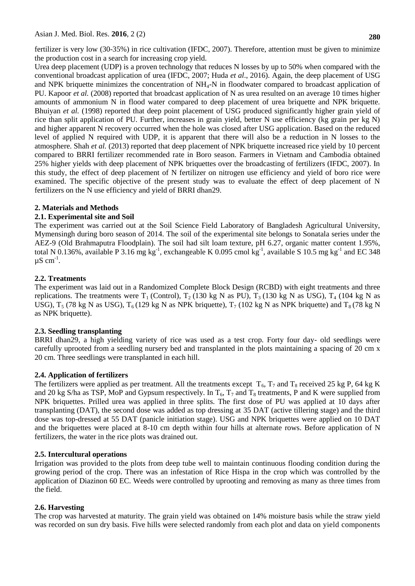fertilizer is very low (30-35%) in rice cultivation (IFDC, 2007). Therefore, attention must be given to minimize the production cost in a search for increasing crop yield.

Urea deep placement (UDP) is a proven technology that reduces N losses by up to 50% when compared with the conventional broadcast application of urea (IFDC, 2007; Huda *et al*., 2016). Again, the deep placement of USG and NPK briquette minimizes the concentration of  $NH<sub>4</sub>-N$  in floodwater compared to broadcast application of PU. Kapoor *et al.* (2008) reported that broadcast application of N as urea resulted on an average 10 times higher amounts of ammonium N in flood water compared to deep placement of urea briquette and NPK briquette. Bhuiyan *et al.* (1998) reported that deep point placement of USG produced significantly higher grain yield of rice than split application of PU. Further, increases in grain yield, better N use efficiency (kg grain per kg N) and higher apparent N recovery occurred when the hole was closed after USG application. Based on the reduced level of applied N required with UDP, it is apparent that there will also be a reduction in N losses to the atmosphere. Shah *et al.* (2013) reported that deep placement of NPK briquette increased rice yield by 10 percent compared to BRRI fertilizer recommended rate in Boro season. Farmers in Vietnam and Cambodia obtained 25% higher yields with deep placement of NPK briquettes over the broadcasting of fertilizers (IFDC, 2007). In this study, the effect of deep placement of N fertilizer on nitrogen use efficiency and yield of boro rice were examined. The specific objective of the present study was to evaluate the effect of deep placement of N fertilizers on the N use efficiency and yield of BRRI dhan29.

# **2. Materials and Methods**

## **2.1. Experimental site and Soil**

The experiment was carried out at the Soil Science Field Laboratory of Bangladesh Agricultural University, Mymensingh during boro season of 2014. The soil of the experimental site belongs to Sonatala series under the AEZ-9 (Old Brahmaputra Floodplain). The soil had silt loam texture, pH 6.27, organic matter content 1.95%, total N 0.136%, available P 3.16 mg kg<sup>-1</sup>, exchangeable K 0.095 cmol kg<sup>-1</sup>, available S 10.5 mg kg<sup>-1</sup> and EC 348  $\mu$ S cm<sup>-1</sup>.

## **2.2. Treatments**

The experiment was laid out in a Randomized Complete Block Design (RCBD) with eight treatments and three replications. The treatments were  $T_1$  (Control),  $T_2$  (130 kg N as PU),  $T_3$  (130 kg N as USG),  $T_4$  (104 kg N as USG),  $T_5$  (78 kg N as USG),  $T_6$  (129 kg N as NPK briquette),  $T_7$  (102 kg N as NPK briquette) and  $T_8$  (78 kg N as NPK briquette).

#### **2.3. Seedling transplanting**

BRRI dhan29, a high yielding variety of rice was used as a test crop. Forty four day- old seedlings were carefully uprooted from a seedling nursery bed and transplanted in the plots maintaining a spacing of 20 cm x 20 cm. Three seedlings were transplanted in each hill.

#### **2.4. Application of fertilizers**

The fertilizers were applied as per treatment. All the treatments except  $T_6$ ,  $T_7$  and  $T_8$  received 25 kg P, 64 kg K and 20 kg S/ha as TSP, MoP and Gypsum respectively. In  $T_6$ ,  $T_7$  and  $T_8$  treatments, P and K were supplied from NPK briquettes. Prilled urea was applied in three splits. The first dose of PU was applied at 10 days after transplanting (DAT), the second dose was added as top dressing at 35 DAT (active tillering stage) and the third dose was top-dressed at 55 DAT (panicle initiation stage). USG and NPK briquettes were applied on 10 DAT and the briquettes were placed at 8-10 cm depth within four hills at alternate rows. Before application of N fertilizers, the water in the rice plots was drained out.

#### **2.5. Intercultural operations**

Irrigation was provided to the plots from deep tube well to maintain continuous flooding condition during the growing period of the crop. There was an infestation of Rice Hispa in the crop which was controlled by the application of Diazinon 60 EC. Weeds were controlled by uprooting and removing as many as three times from the field.

# **2.6. Harvesting**

The crop was harvested at maturity. The grain yield was obtained on 14% moisture basis while the straw yield was recorded on sun dry basis. Five hills were selected randomly from each plot and data on yield components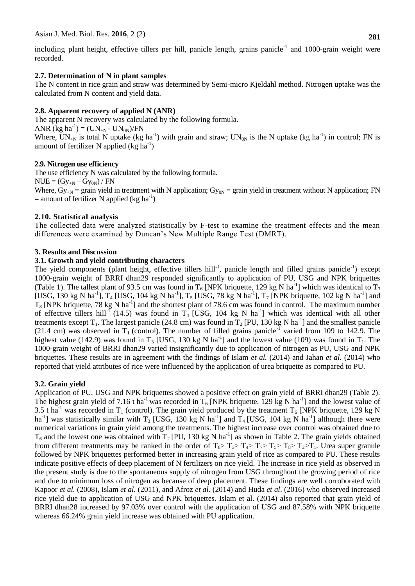including plant height, effective tillers per hill, panicle length, grains panicle<sup>-1</sup> and 1000-grain weight were recorded.

## **2.7. Determination of N in plant samples**

The N content in rice grain and straw was determined by Semi-micro Kjeldahl method. Nitrogen uptake was the calculated from N content and yield data.

## **2.8. Apparent recovery of applied N (ANR)**

The apparent N recovery was calculated by the following formula. ANR  $(\text{kg ha}^{-1}) = (\text{UN}_{+N} - \text{UN}_{0N})/\text{FN}$ Where,  $UN_{+N}$  is total N uptake (kg ha<sup>-1</sup>) with grain and straw;  $UN_{0N}$  is the N uptake (kg ha<sup>-1</sup>) in control; FN is amount of fertilizer N applied  $(kg \ ha^{-1})$ 

## **2.9. Nitrogen use efficiency**

The use efficiency N was calculated by the following formula.

 $NUE = (Gy_{+N} - Gy_{0N}) / FN$ 

Where,  $Gy_{+N}$  = grain yield in treatment with N application;  $Gy_{0N}$  = grain yield in treatment without N application; FN  $=$  amount of fertilizer N applied (kg ha<sup>-1</sup>)

#### **2.10. Statistical analysis**

The collected data were analyzed statistically by F-test to examine the treatment effects and the mean differences were examined by Duncan's New Multiple Range Test (DMRT).

#### **3. Results and Discussion**

## **3.1. Growth and yield contributing characters**

The yield components (plant height, effective tillers hill<sup>-1</sup>, panicle length and filled grains panicle<sup>-1</sup>) except 1000-grain weight of BRRI dhan29 responded significantly to application of PU, USG and NPK briquettes (Table 1). The tallest plant of 93.5 cm was found in  $T_6$  [NPK briquette, 129 kg N ha<sup>-1</sup>] which was identical to  $T_3$ [USG, 130 kg N ha<sup>-1</sup>], T<sub>4</sub> [USG, 104 kg N ha<sup>-1</sup>], T<sub>5</sub> [USG, 78 kg N ha<sup>-1</sup>], T<sub>7</sub> [NPK briquette, 102 kg N ha<sup>-1</sup>] and  $T_8$  [NPK briquette, 78 kg N ha<sup>-1</sup>] and the shortest plant of 78.6 cm was found in control. The maximum number of effective tillers hill<sup>- $\overline{I}$ </sup> (14.5) was found in  $T_4$  [USG, 104 kg N ha<sup>-1</sup>] which was identical with all other treatments except  $T_1$ . The largest panicle (24.8 cm) was found in  $T_2$  [PU, 130 kg N ha<sup>-1</sup>] and the smallest panicle (21.4 cm) was observed in  $T_1$  (control). The number of filled grains panicle<sup>-1</sup> varied from 109 to 142.9. The highest value (142.9) was found in T<sub>3</sub> [USG, 130 kg N ha<sup>-1</sup>] and the lowest value (109) was found in T<sub>1</sub>. The 1000-grain weight of BRRI dhan29 varied insignificantly due to application of nitrogen as PU, USG and NPK briquettes. These results are in agreement with the findings of Islam *et al.* (2014) and Jahan *et al.* (2014) who reported that yield attributes of rice were influenced by the application of urea briquette as compared to PU.

#### **3.2. Grain yield**

Application of PU, USG and NPK briquettes showed a positive effect on grain yield of BRRI dhan29 (Table 2). The highest grain yield of 7.16 t ha<sup>-1</sup> was recorded in  $T_6$  [NPK briquette, 129 kg N ha<sup>-1</sup>] and the lowest value of 3.5 t ha<sup>-1</sup> was recorded in T<sub>1</sub> (control). The grain yield produced by the treatment T<sub>6</sub> [NPK briquette, 129 kg N ha<sup>-1</sup>] was statistically similar with  $T_3$  [USG, 130 kg N ha<sup>-1</sup>] and  $T_4$  [USG, 104 kg N ha<sup>-1</sup>] although there were numerical variations in grain yield among the treatments. The highest increase over control was obtained due to  $T_6$  and the lowest one was obtained with  $T_2$  [PU, 130 kg N ha<sup>-1</sup>] as shown in Table 2. The grain yields obtained from different treatments may be ranked in the order of  $T_6 > T_3 > T_4 > T_7 > T_5 > T_8 > T_2 > T_1$ . Urea super granule followed by NPK briquettes performed better in increasing grain yield of rice as compared to PU. These results indicate positive effects of deep placement of N fertilizers on rice yield. The increase in rice yield as observed in the present study is due to the spontaneous supply of nitrogen from USG throughout the growing period of rice and due to minimum loss of nitrogen as because of deep placement. These findings are well corroborated with Kapoor *et al.* (2008), Islam *et al.* (2011), and Afroz *et al.* (2014) and Huda *et al*. (2016) who observed increased rice yield due to application of USG and NPK briquettes. Islam et al. (2014) also reported that grain yield of BRRI dhan28 increased by 97.03% over control with the application of USG and 87.58% with NPK briquette whereas  $66.24\%$  grain yield increase was obtained with PU application.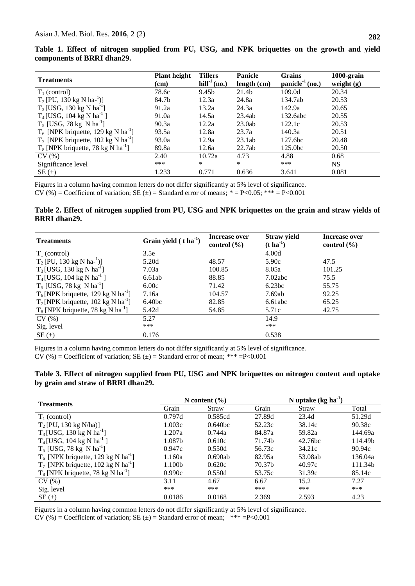|  |                            |  |  |  | Table 1. Effect of nitrogen supplied from PU, USG, and NPK briquettes on the growth and yield |  |  |  |
|--|----------------------------|--|--|--|-----------------------------------------------------------------------------------------------|--|--|--|
|  | components of BRRI dhan29. |  |  |  |                                                                                               |  |  |  |

| <b>Treatments</b>                                 | <b>Plant height</b><br>(cm) | <b>Tillers</b><br>$\text{hill}^{-1}$ (no.) | <b>Panicle</b><br>length (cm) | <b>Grains</b><br>$panicle-1(no.)$ | 1000-grain<br>weight $(g)$ |
|---------------------------------------------------|-----------------------------|--------------------------------------------|-------------------------------|-----------------------------------|----------------------------|
| $T_1$ (control)                                   | 78.6c                       | 9.45b                                      | 21.4b                         | 109.0d                            | 20.34                      |
| $T_2$ [PU, 130 kg N ha- <sup>1</sup> )]           | 84.7b                       | 12.3a                                      | 24.8a                         | 134.7ab                           | 20.53                      |
| $T_3$ [USG, 130 kg N ha <sup>-1</sup> ]           | 91.2a                       | 13.2a                                      | 24.3a                         | 142.9a                            | 20.65                      |
| $T_4$ [USG, 104 kg N ha <sup>-1</sup> ]           | 91.0a                       | 14.5a                                      | 23.4ab                        | 132.6abc                          | 20.55                      |
| $T_5$ [USG, 78 kg N ha <sup>-1</sup> ]            | 90.3a                       | 12.2a                                      | 23.0ab                        | 122.1c                            | 20.53                      |
| $T_6$ [NPK briquette, 129 kg N ha <sup>-1</sup> ] | 93.5a                       | 12.8a                                      | 23.7a                         | 140.3a                            | 20.51                      |
| $T_7$ [NPK briquette, 102 kg N ha <sup>-1</sup> ] | 93.0a                       | 12.9a                                      | 23.1ab                        | 127.6 <sub>bc</sub>               | 20.48                      |
| $T_8$ [NPK briquette, 78 kg N ha <sup>-1</sup> ]  | 89.8a                       | 12.6a                                      | 22.7ab                        | 125.0 <sub>bc</sub>               | 20.50                      |
| CV(%)                                             | 2.40                        | 10.72a                                     | 4.73                          | 4.88                              | 0.68                       |
| Significance level                                | ***                         | $\ast$                                     | $\ast$                        | ***                               | NS.                        |
| $SE(\pm)$                                         | 1.233                       | 0.771                                      | 0.636                         | 3.641                             | 0.081                      |

Figures in a column having common letters do not differ significantly at 5% level of significance. CV (%) = Coefficient of variation; SE ( $\pm$ ) = Standard error of means;  $* = P < 0.05$ ; \*\*\* = P<0.001

#### **Table 2. Effect of nitrogen supplied from PU, USG and NPK briquettes on the grain and straw yields of BRRI dhan29.**

| <b>Treatments</b>                                 | Grain yield $(t \, ha^{-1})$ | Increase over<br>control $(\% )$ | <b>Straw yield</b><br>$(t \text{ ha}^{-1})$ | Increase over<br>control $(\% )$ |
|---------------------------------------------------|------------------------------|----------------------------------|---------------------------------------------|----------------------------------|
| $T_1$ (control)                                   | 3.5e                         |                                  | 4.00d                                       |                                  |
| $T_2$ [PU, 130 kg N ha- <sup>1</sup> )]           | 5.20d                        | 48.57                            | 5.90c                                       | 47.5                             |
| $T_3$ [USG, 130 kg N ha <sup>-1</sup> ]           | 7.03a                        | 100.85                           | 8.05a                                       | 101.25                           |
| $T_4$ [USG, 104 kg N ha <sup>-1</sup> ]           | 6.61ab                       | 88.85                            | 7.02abc                                     | 75.5                             |
| $T_5$ [USG, 78 kg N ha <sup>-1</sup> ]            | 6.00c                        | 71.42                            | 6.23bc                                      | 55.75                            |
| $T_6$ [NPK briquette, 129 kg N ha <sup>-1</sup> ] | 7.16a                        | 104.57                           | 7.69ab                                      | 92.25                            |
| $T_7$ [NPK briquette, 102 kg N ha <sup>-1</sup> ] | 6.40 <sub>bc</sub>           | 82.85                            | 6.61abc                                     | 65.25                            |
| $T_8$ [NPK briquette, 78 kg N ha <sup>-1</sup> ]  | 5.42d                        | 54.85                            | 5.71c                                       | 42.75                            |
| CV(%)                                             | 5.27                         |                                  | 14.9                                        |                                  |
| Sig. level                                        | ***                          |                                  | ***                                         |                                  |
| $SE(\pm)$                                         | 0.176                        |                                  | 0.538                                       |                                  |

Figures in a column having common letters do not differ significantly at 5% level of significance.  $CV (%) = Coefficient of variation; SE (±) = Standard error of mean; ** = P < 0.001$ 

| Table 3. Effect of nitrogen supplied from PU, USG and NPK briquettes on nitrogen content and uptake |  |  |
|-----------------------------------------------------------------------------------------------------|--|--|
| by grain and straw of BRRI dhan29.                                                                  |  |  |

| <b>Treatments</b>                                 |        | N content $(\% )$   |        | N uptake $(kg ha-1)$ |         |
|---------------------------------------------------|--------|---------------------|--------|----------------------|---------|
|                                                   | Grain  | Straw               | Grain  | Straw                | Total   |
| $T_1$ (control)                                   | 0.797d | 0.585cd             | 27.89d | 23.4d                | 51.29d  |
| $T_2$ [PU, 130 kg N/ha)]                          | 1.003c | 0.640 <sub>bc</sub> | 52.23c | 38.14c               | 90.38c  |
| $T_3$ [USG, 130 kg N ha <sup>-1</sup> ]           | 1.207a | 0.744a              | 84.87a | 59.82a               | 144.69a |
| $T_4$ [USG, 104 kg N ha <sup>-1</sup> ]           | 1.087b | 0.610c              | 71.74b | 42.76bc              | 114.49b |
| $T_5$ [USG, 78 kg N ha <sup>-1</sup> ]            | 0.947c | 0.550d              | 56.73c | 34.21c               | 90.94c  |
| $T_6$ [NPK briquette, 129 kg N ha <sup>-1</sup> ] | 1.160a | 0.690ab             | 82.95a | 53.08ab              | 136.04a |
| $T_7$ [NPK briquette, 102 kg N ha <sup>-1</sup> ] | 1.100b | 0.620c              | 70.37b | 40.97c               | 111.34b |
| $T_8$ [NPK briquette, 78 kg N ha <sup>-1</sup> ]  | 0.990c | 0.550d              | 53.75c | 31.39c               | 85.14c  |
| CV(%)                                             | 3.11   | 4.67                | 6.67   | 15.2                 | 7.27    |
| Sig. level                                        | ***    | ***                 | ***    | ***                  | ***     |
| $SE(\pm)$                                         | 0.0186 | 0.0168              | 2.369  | 2.593                | 4.23    |

Figures in a column having common letters do not differ significantly at 5% level of significance.

CV (%) = Coefficient of variation; SE  $(\pm)$  = Standard error of mean; \*\*\* =P<0.001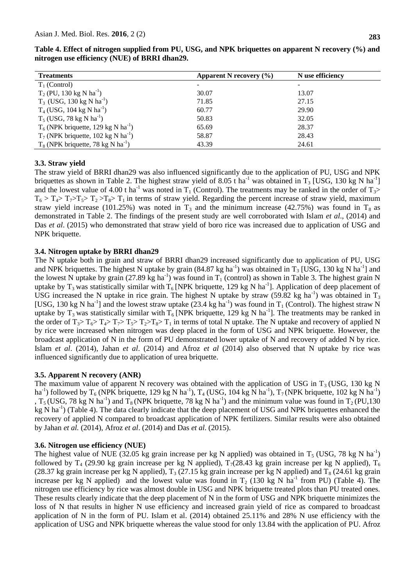| <b>Treatments</b>                                 | Apparent N recovery $(\% )$ | N use efficiency |
|---------------------------------------------------|-----------------------------|------------------|
| $T_1$ (Control)                                   |                             |                  |
| $T_2$ (PU, 130 kg N ha <sup>-1</sup> )            | 30.07                       | 13.07            |
| $T_3$ (USG, 130 kg N ha <sup>-1</sup> )           | 71.85                       | 27.15            |
| $T_4$ (USG, 104 kg N ha <sup>-1</sup> )           | 60.77                       | 29.90            |
| $T_5$ (USG, 78 kg N ha <sup>-1</sup> )            | 50.83                       | 32.05            |
| $T_6$ (NPK briquette, 129 kg N ha <sup>-1</sup> ) | 65.69                       | 28.37            |
| $T_7$ (NPK briquette, 102 kg N ha <sup>-1</sup> ) | 58.87                       | 28.43            |
| $T_8$ (NPK briquette, 78 kg N ha <sup>-1</sup> )  | 43.39                       | 24.61            |

**Table 4. Effect of nitrogen supplied from PU, USG, and NPK briquettes on apparent N recovery (%) and nitrogen use efficiency (NUE) of BRRI dhan29.**

# **3.3. Straw yield**

The straw yield of BRRI dhan29 was also influenced significantly due to the application of PU, USG and NPK briquettes as shown in Table 2. The highest straw yield of 8.05 t ha<sup>-1</sup> was obtained in T<sub>3</sub> [USG, 130 kg N ha<sup>-1</sup>] and the lowest value of 4.00 t ha<sup>-1</sup> was noted in T<sub>1</sub> (Control). The treatments may be ranked in the order of T<sub>3</sub>>  $T_6 > T_4 > T_7 > T_5 > T_2 > T_8 > T_1$  in terms of straw yield. Regarding the percent increase of straw yield, maximum straw yield increase (101.25%) was noted in  $T_3$  and the minimum increase (42.75%) was found in  $T_8$  as demonstrated in Table 2. The findings of the present study are well corroborated with Islam *et al*., (2014) and Das *et al*. (2015) who demonstrated that straw yield of boro rice was increased due to application of USG and NPK briquette.

# **3.4. Nitrogen uptake by BRRI dhan29**

The N uptake both in grain and straw of BRRI dhan29 increased significantly due to application of PU, USG and NPK briquettes. The highest N uptake by grain (84.87 kg ha<sup>-1</sup>) was obtained in T<sub>3</sub> [USG, 130 kg N ha<sup>-1</sup>] and the lowest N uptake by grain (27.89 kg ha<sup>-1</sup>) was found in  $T_1$  (control) as shown in Table 3. The highest grain N uptake by T<sub>3</sub> was statistically similar with T<sub>6</sub> [NPK briquette, 129 kg N ha<sup>-1</sup>]. Application of deep placement of USG increased the N uptake in rice grain. The highest N uptake by straw (59.82 kg ha<sup>-1</sup>) was obtained in  $T_3$ [USG, 130 kg N ha<sup>-1</sup>] and the lowest straw uptake (23.4 kg ha<sup>-1</sup>) was found in T<sub>1</sub> (Control). The highest straw N uptake by T<sub>3</sub> was statistically similar with  $T_6$  [NPK briquette, 129 kg N ha<sup>-1</sup>]. The treatments may be ranked in the order of  $T_3 > T_6 > T_4 > T_7 > T_5 > T_2 > T_8 > T_1$  in terms of total N uptake. The N uptake and recovery of applied N by rice were increased when nitrogen was deep placed in the form of USG and NPK briquette. However, the broadcast application of N in the form of PU demonstrated lower uptake of N and recovery of added N by rice. Islam *et al*. (2014), Jahan *et al*. (2014) and Afroz *et al* (2014) also observed that N uptake by rice was influenced significantly due to application of urea briquette.

# **3.5. Apparent N recovery (ANR)**

The maximum value of apparent N recovery was obtained with the application of USG in  $T_3$  (USG, 130 kg N ha<sup>-1</sup>) followed by T<sub>6</sub> (NPK briquette, 129 kg N ha<sup>-1</sup>), T<sub>4</sub> (USG, 104 kg N ha<sup>-1</sup>), T<sub>7</sub> (NPK briquette, 102 kg N ha<sup>-1</sup>) , T<sub>5</sub> (USG, 78 kg N ha<sup>-1</sup>) and T<sub>8</sub> (NPK briquette, 78 kg N ha<sup>-1</sup>) and the minimum value was found in T<sub>2</sub> (PU,130) kg N ha<sup>-1</sup>) (Table 4). The data clearly indicate that the deep placement of USG and NPK briquettes enhanced the recovery of applied N compared to broadcast application of NPK fertilizers. Similar results were also obtained by Jahan *et al.* (2014), Afroz *et al*. (2014) and Das *et al*. (2015).

# **3.6. Nitrogen use efficiency (NUE)**

The highest value of NUE (32.05 kg grain increase per kg N applied) was obtained in  $T_5$  (USG, 78 kg N ha<sup>-1</sup>) followed by T<sub>4</sub> (29.90 kg grain increase per kg N applied), T<sub>7</sub>(28.43 kg grain increase per kg N applied), T<sub>6</sub> (28.37 kg grain increase per kg N applied),  $T_3$  (27.15 kg grain increase per kg N applied) and  $T_8$  (24.61 kg grain increase per kg N applied) and the lowest value was found in  $T_2$  (130 kg N ha<sup>-1</sup> from PU) (Table 4). The nitrogen use efficiency by rice was almost double in USG and NPK briquette treated plots than PU treated ones. These results clearly indicate that the deep placement of N in the form of USG and NPK briquette minimizes the loss of N that results in higher N use efficiency and increased grain yield of rice as compared to broadcast application of N in the form of PU. Islam et al. (2014) obtained 25.11% and 28% N use efficiency with the application of USG and NPK briquette whereas the value stood for only 13.84 with the application of PU. Afroz